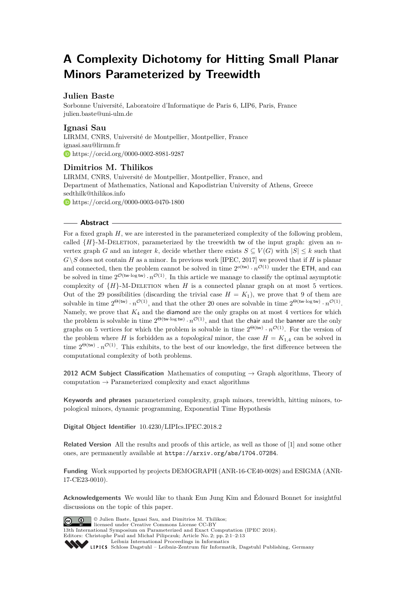# **A Complexity Dichotomy for Hitting Small Planar Minors Parameterized by Treewidth**

# **Julien Baste**

Sorbonne Université, Laboratoire d'Informatique de Paris 6, LIP6, Paris, France [julien.baste@uni-ulm.de](mailto:julien.baste@uni-ulm.de)

# **Ignasi Sau**

LIRMM, CNRS, Université de Montpellier, Montpellier, France [ignasi.sau@lirmm.fr](mailto:ignasi.sau@lirmm.fr) <https://orcid.org/0000-0002-8981-9287>

# **Dimitrios M. Thilikos**

LIRMM, CNRS, Université de Montpellier, Montpellier, France, and Department of Mathematics, National and Kapodistrian University of Athens, Greece [sedthilk@thilikos.info](mailto:sedthilk@thilikos.info) <https://orcid.org/0000-0003-0470-1800>

## **Abstract**

For a fixed graph *H*, we are interested in the parameterized complexity of the following problem, called  ${H}$ -M-DELETION, parameterized by the treewidth tw of the input graph: given an *n*vertex graph *G* and an integer *k*, decide whether there exists  $S \subseteq V(G)$  with  $|S| \leq k$  such that  $G\setminus S$  does not contain *H* as a minor. In previous work [IPEC, 2017] we proved that if *H* is planar and connected, then the problem cannot be solved in time  $2^{o(tw)} \cdot n^{\mathcal{O}(1)}$  under the ETH, and can be solved in time  $2^{\mathcal{O}(\text{tw-log tw})} \cdot n^{\mathcal{O}(1)}$ . In this article we manage to classify the optimal asymptotic complexity of  ${H}$ -M-DELETION when *H* is a connected planar graph on at most 5 vertices. Out of the 29 possibilities (discarding the trivial case  $H = K_1$ ), we prove that 9 of them are solvable in time  $2^{\Theta(\mathsf{tw})} \cdot n^{\mathcal{O}(1)}$ , and that the other 20 ones are solvable in time  $2^{\Theta(\mathsf{tw} \cdot \log \mathsf{tw})} \cdot n^{\mathcal{O}(1)}$ . Namely, we prove that  $K_4$  and the diamond are the only graphs on at most 4 vertices for which the problem is solvable in time  $2^{\Theta(\text{tw-log tw})} \cdot n^{\mathcal{O}(1)}$ , and that the chair and the banner are the only graphs on 5 vertices for which the problem is solvable in time  $2^{\Theta({tw)}} \cdot n^{\mathcal{O}(1)}$ . For the version of the problem where *H* is forbidden as a topological minor, the case  $H = K_{1,4}$  can be solved in time  $2^{\Theta(\text{tw})} \cdot n^{\mathcal{O}(1)}$ . This exhibits, to the best of our knowledge, the first difference between the computational complexity of both problems.

**2012 ACM Subject Classification** Mathematics of computing → Graph algorithms, Theory of computation  $\rightarrow$  Parameterized complexity and exact algorithms

**Keywords and phrases** parameterized complexity, graph minors, treewidth, hitting minors, topological minors, dynamic programming, Exponential Time Hypothesis

**Digital Object Identifier** [10.4230/LIPIcs.IPEC.2018.2](https://doi.org/10.4230/LIPIcs.IPEC.2018.2)

**Related Version** All the results and proofs of this article, as well as those of [\[1\]](#page-12-0) and some other ones, are permanently available at <https://arxiv.org/abs/1704.07284>.

**Funding** Work supported by projects DEMOGRAPH (ANR-16-CE40-0028) and ESIGMA (ANR-17-CE23-0010).

**Acknowledgements** We would like to thank Eun Jung Kim and Édouard Bonnet for insightful discussions on the topic of this paper.



© Julien Baste, Ignasi Sau, and Dimitrios M. Thilikos; licensed under Creative Commons License CC-BY

13th International Symposium on Parameterized and Exact Computation (IPEC 2018). Editors: Christophe Paul and Michał Pilipczuk; Article No. 2; pp. 2:1–2[:13](#page-12-1) [Leibniz International Proceedings in Informatics](http://www.dagstuhl.de/lipics/)

[Schloss Dagstuhl – Leibniz-Zentrum für Informatik, Dagstuhl Publishing, Germany](http://www.dagstuhl.de)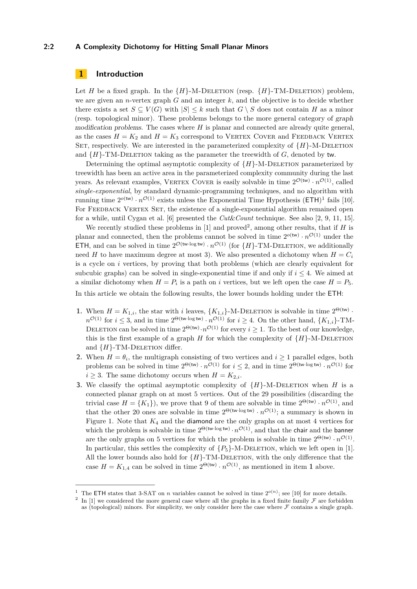## **2:2 A Complexity Dichotomy for Hitting Small Planar Minors**

# **1 Introduction**

Let *H* be a fixed graph. In the  ${H}$ -M-DELETION (resp.  ${H}$ -TM-DELETION) problem, we are given an *n*-vertex graph *G* and an integer *k*, and the objective is to decide whether there exists a set  $S \subseteq V(G)$  with  $|S| \leq k$  such that  $G \setminus S$  does not contain *H* as a minor (resp. topological minor). These problems belongs to the more general category of graph modification problems. The cases where *H* is planar and connected are already quite general, as the cases  $H = K_2$  and  $H = K_3$  correspond to VERTEX COVER and FEEDBACK VERTEX SET, respectively. We are interested in the parameterized complexity of  ${H}$ -M-DELETION and  ${H}$ -TM-DELETION taking as the parameter the treewidth of *G*, denoted by tw.

Determining the optimal asymptotic complexity of  ${H}$ -M-DELETION parameterized by treewidth has been an active area in the parameterized complexity community during the last years. As relevant examples, VERTEX COVER is easily solvable in time  $2^{\mathcal{O}(\text{tw})} \cdot n^{\mathcal{O}(1)}$ , called *single-exponential*, by standard dynamic-programming techniques, and no algorithm with running time  $2^{o(tw)} \cdot n^{\mathcal{O}(1)}$  $2^{o(tw)} \cdot n^{\mathcal{O}(1)}$  $2^{o(tw)} \cdot n^{\mathcal{O}(1)}$  exists unless the Exponential Time Hypothesis  $(\textsf{ETH})^1$  fails [\[10\]](#page-12-2). For FEEDBACK VERTEX SET, the existence of a single-exponential algorithm remained open for a while, until Cygan et al. [\[6\]](#page-12-3) presented the *Cut*&*Count* technique. See also [\[2,](#page-12-4) [9,](#page-12-5) [11,](#page-12-6) [15\]](#page-12-7).

We recently studied these problems in  $[1]$  and proved<sup>[2](#page-1-1)</sup>, among other results, that if *H* is planar and connected, then the problems cannot be solved in time  $2^{o(w)} \cdot n^{\mathcal{O}(1)}$  under the ETH, and can be solved in time  $2^{\mathcal{O}(\text{tw-log tw})} \cdot n^{\mathcal{O}(1)}$  (for  $\{H\}$ -TM-DELETION, we additionally need *H* to have maximum degree at most 3). We also presented a dichotomy when  $H = C_i$ is a cycle on *i* vertices, by proving that both problems (which are clearly equivalent for subcubic graphs) can be solved in single-exponential time if and only if  $i < 4$ . We aimed at a similar dichotomy when  $H = P_i$  is a path on *i* vertices, but we left open the case  $H = P_5$ . In this article we obtain the following results, the lower bounds holding under the ETH:

- **1.** When  $H = K_{1,i}$ , the star with *i* leaves,  $\{K_{1,i}\}$ -M-DELETION is solvable in time  $2^{\Theta(\text{tw})}$ .  $n^{\mathcal{O}(1)}$  for  $i \leq 3$ , and in time  $2^{\Theta(\text{tw-log tw})} \cdot n^{\mathcal{O}(1)}$  for  $i \geq 4$ . On the other hand,  $\{K_{1,i}\}$ -TM-DELETION can be solved in time  $2^{\Theta({\sf{tw}})} \cdot n^{\mathcal{O}(1)}$  for every  $i \geq 1$ . To the best of our knowledge, this is the first example of a graph *H* for which the complexity of  ${H}$ -M-DELETION and  ${H}$ -TM-DELETION differ.
- **2.** When  $H = \theta_i$ , the multigraph consisting of two vertices and  $i \geq 1$  parallel edges, both problems can be solved in time  $2^{\Theta(\text{tw})} \cdot n^{\mathcal{O}(1)}$  for  $i \leq 2$ , and in time  $2^{\Theta(\text{tw-log tw})} \cdot n^{\mathcal{O}(1)}$  for  $i \geq 3$ . The same dichotomy occurs when  $H = K_{2,i}$ .
- **3.** We classify the optimal asymptotic complexity of  ${H}$ -M-DELETION when *H* is a connected planar graph on at most 5 vertices. Out of the 29 possibilities (discarding the trivial case  $H = \{K_1\}$ , we prove that 9 of them are solvable in time  $2^{\Theta(\text{tw})} \cdot n^{\mathcal{O}(1)}$ , and that the other 20 ones are solvable in time  $2^{\Theta(\text{tw-log tw})} \cdot n^{\mathcal{O}(1)}$ ; a summary is shown in Figure [1.](#page-2-0) Note that *K*<sup>4</sup> and the diamond are the only graphs on at most 4 vertices for which the problem is solvable in time  $2^{\Theta(\text{tw-log tw})} \cdot n^{\mathcal{O}(1)}$ , and that the chair and the banner are the only graphs on 5 vertices for which the problem is solvable in time  $2^{\Theta(w)} \cdot n^{\mathcal{O}(1)}$ . In particular, this settles the complexity of  $\{P_5\}$ -M-DELETION, which we left open in [\[1\]](#page-12-0). All the lower bounds also hold for  ${H}$ -TM-DELETION, with the only difference that the case  $H = K_{1,4}$  can be solved in time  $2^{\Theta(\text{tw})} \cdot n^{\mathcal{O}(1)}$ , as mentioned in item 1 above.

<span id="page-1-0"></span><sup>&</sup>lt;sup>1</sup> The ETH states that 3-SAT on *n* variables cannot be solved in time  $2^{o(n)}$ ; see [\[10\]](#page-12-2) for more details.

<span id="page-1-1"></span><sup>2</sup> In [\[1\]](#page-12-0) we considered the more general case where all the graphs in a fixed finite family  $\mathcal F$  are forbidden as (topological) minors. For simplicity, we only consider here the case where  $\mathcal F$  contains a single graph.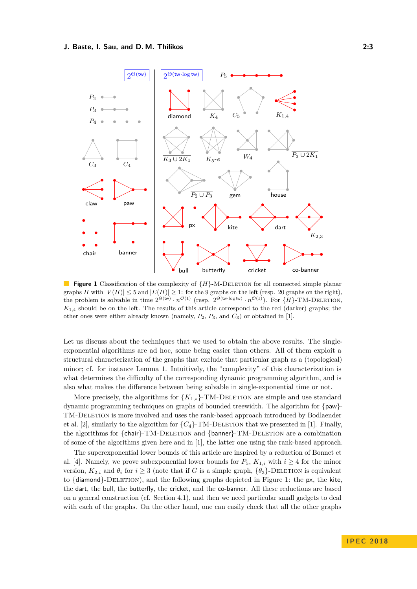<span id="page-2-0"></span>

 $\mathbb{R}^n$ **Figure 1** Classification of the complexity of  ${H}$ -M-DELETION for all connected simple planar graphs *H* with  $|V(H)| \leq 5$  and  $|E(H)| \geq 1$ : for the 9 graphs on the left (resp. 20 graphs on the right), the problem is solvable in time  $2^{\Theta({\sf{tw}})} \cdot n^{\mathcal{O}(1)}$  (resp.  $2^{\Theta({\sf{tw}} \cdot \log {\sf{tw}})} \cdot n^{\mathcal{O}(1)}$ ). For  $\{H\}$ -TM-DELETION, *K*1*,*<sup>4</sup> should be on the left. The results of this article correspond to the red (darker) graphs; the other ones were either already known (namely, *P*2, *P*3, and *C*3) or obtained in [\[1\]](#page-12-0).

Let us discuss about the techniques that we used to obtain the above results. The singleexponential algorithms are ad hoc, some being easier than others. All of them exploit a structural characterization of the graphs that exclude that particular graph as a (topological) minor; cf. for instance Lemma [1.](#page-4-0) Intuitively, the "complexity" of this characterization is what determines the difficulty of the corresponding dynamic programming algorithm, and is also what makes the difference between being solvable in single-exponential time or not.

More precisely, the algorithms for  ${K_{1,s}}$ -TM-DELETION are simple and use standard dynamic programming techniques on graphs of bounded treewidth. The algorithm for {paw}- TM-Deletion is more involved and uses the rank-based approach introduced by Bodlaender et al. [\[2\]](#page-12-4), similarly to the algorithm for  ${C_4}$ -TM-DELETION that we presented in [\[1\]](#page-12-0). Finally, the algorithms for {chair}-TM-DELETION and {banner}-TM-DELETION are a combination of some of the algorithms given here and in [\[1\]](#page-12-0), the latter one using the rank-based approach.

The superexponential lower bounds of this article are inspired by a reduction of Bonnet et al. [\[4\]](#page-12-8). Namely, we prove subexponential lower bounds for  $P_5$ ,  $K_{1,i}$  with  $i \geq 4$  for the minor version,  $K_{2,i}$  and  $\theta_i$  for  $i \geq 3$  (note that if *G* is a simple graph,  $\{\theta_3\}$ -DELETION is equivalent to  $\{\text{diamond}\}$ -DELETION), and the following graphs depicted in Figure [1:](#page-2-0) the px, the kite, the dart, the bull, the butterfly, the cricket, and the co-banner. All these reductions are based on a general construction (cf. Section [4.1\)](#page-7-0), and then we need particular small gadgets to deal with each of the graphs. On the other hand, one can easily check that all the other graphs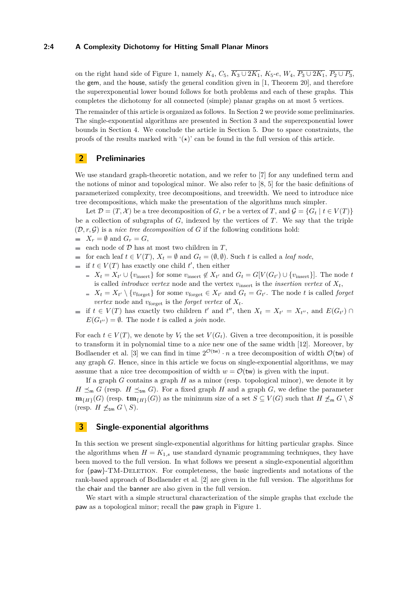#### **2:4 A Complexity Dichotomy for Hitting Small Planar Minors**

on the right hand side of Figure [1,](#page-2-0) namely  $K_4$ ,  $C_5$ ,  $\overline{K_3 \cup 2K_1}$ ,  $K_5$ -*e*,  $W_4$ ,  $\overline{P_3 \cup 2K_1}$ ,  $\overline{P_2 \cup P_3}$ , the gem, and the house, satisfy the general condition given in [\[1,](#page-12-0) Theorem 20], and therefore the superexponential lower bound follows for both problems and each of these graphs. This completes the dichotomy for all connected (simple) planar graphs on at most 5 vertices.

The remainder of this article is organized as follows. In Section [2](#page-3-0) we provide some preliminaries. The single-exponential algorithms are presented in Section [3](#page-3-1) and the superexponential lower bounds in Section [4.](#page-6-0) We conclude the article in Section [5.](#page-11-0) Due to space constraints, the proofs of the results marked with  $'(\star)$ ' can be found in the full version of this article.

# <span id="page-3-0"></span>**2 Preliminaries**

We use standard graph-theoretic notation, and we refer to [\[7\]](#page-12-9) for any undefined term and the notions of minor and topological minor. We also refer to [\[8,](#page-12-10) [5\]](#page-12-11) for the basic definitions of parameterized complexity, tree decompositions, and treewidth. We need to introduce nice tree decompositions, which make the presentation of the algorithms much simpler.

Let  $\mathcal{D} = (T, \mathcal{X})$  be a tree decomposition of *G*, *r* be a vertex of *T*, and  $\mathcal{G} = \{G_t | t \in V(T)\}\$ be a collection of subgraphs of *G*, indexed by the vertices of *T*. We say that the triple  $(D, r, \mathcal{G})$  is a *nice tree decomposition* of  $G$  if the following conditions hold:

- $X_r = \emptyset$  and  $G_r = G$ ,
- each node of  $D$  has at most two children in  $T$ ,
- **■** for each leaf  $t \in V(T)$ ,  $X_t = ∅$  and  $G_t = (Ø, ∅)$ . Such *t* is called a *leaf node*,
- if  $t ∈ V(T)$  has exactly one child  $t'$ , then either
	- $X_t = X_{t'} \cup \{v_{\text{insert}}\}$  for some  $v_{\text{insert}} \notin X_{t'}$  and  $G_t = G[V(G_{t'}) \cup \{v_{\text{insert}}\}]$ . The node *t* is called *introduce vertex* node and the vertex  $v_{\text{insert}}$  is the *insertion vertex* of  $X_t$ ,
	- $X_t = X_{t'} \setminus \{v_{\text{forget}}\}$  for some  $v_{\text{forget}} \in X_{t'}$  and  $G_t = G_{t'}$ . The node *t* is called *forget vertex* node and  $v_{\text{forget}}$  is the *forget vertex* of  $X_t$ .
- if  $t \in V(T)$  has exactly two children  $t'$  and  $t''$ , then  $X_t = X_{t'} = X_{t''}$ , and  $E(G_{t'}) \cap$  $E(G_{t''}) = \emptyset$ . The node *t* is called a *join* node.

For each  $t \in V(T)$ , we denote by  $V_t$  the set  $V(G_t)$ . Given a tree decomposition, it is possible to transform it in polynomial time to a nice new one of the same width [\[12\]](#page-12-12). Moreover, by Bodlaender et al. [\[3\]](#page-12-13) we can find in time  $2^{\mathcal{O}(\mathsf{tw})} \cdot n$  a tree decomposition of width  $\mathcal{O}(\mathsf{tw})$  of any graph *G*. Hence, since in this article we focus on single-exponential algorithms, we may assume that a nice tree decomposition of width  $w = \mathcal{O}(\mathsf{tw})$  is given with the input.

If a graph *G* contains a graph *H* as a minor (resp. topological minor), we denote it by  $H \leq_m G$  (resp. *H*  $\leq_{\text{tm}} G$ ). For a fixed graph *H* and a graph *G*, we define the parameter  $\mathbf{m}_{\{H\}}(G)$  (resp.  $\mathbf{tm}_{\{H\}}(G)$ ) as the minimum size of a set  $S \subseteq V(G)$  such that  $H \npreceq_{\mathfrak{m}} G \setminus S$ (resp. *H*  $\not\preceq_{\sf tm} G \setminus S$ ).

# <span id="page-3-1"></span>**3 Single-exponential algorithms**

In this section we present single-exponential algorithms for hitting particular graphs. Since the algorithms when  $H = K_{1,s}$  use standard dynamic programming techniques, they have been moved to the full version. In what follows we present a single-exponential algorithm for {paw}-TM-Deletion. For completeness, the basic ingredients and notations of the rank-based approach of Bodlaender et al. [\[2\]](#page-12-4) are given in the full version. The algorithms for the chair and the banner are also given in the full version.

We start with a simple structural characterization of the simple graphs that exclude the paw as a topological minor; recall the paw graph in Figure [1.](#page-2-0)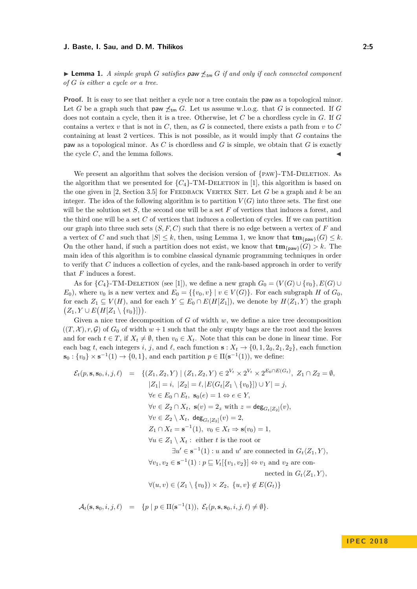<span id="page-4-0"></span>**Lemma 1.** *A simple graph G satisfies* paw  $\not\preceq_{tm} G$  *if and only if each connected component of G is either a cycle or a tree.*

**Proof.** It is easy to see that neither a cycle nor a tree contain the paw as a topological minor. Let *G* be a graph such that paw  $\not\preceq_{\mathsf{tm}} G$ . Let us assume w.l.o.g. that *G* is connected. If *G* does not contain a cycle, then it is a tree. Otherwise, let *C* be a chordless cycle in *G*. If *G* contains a vertex *v* that is not in *C*, then, as *G* is connected, there exists a path from *v* to *C* containing at least 2 vertices. This is not possible, as it would imply that *G* contains the paw as a topological minor. As *C* is chordless and *G* is simple, we obtain that *G* is exactly the cycle *C*, and the lemma follows.

We present an algorithm that solves the decision version of  $\{PAW\}$ -TM-DELETION. As the algorithm that we presented for  ${C_4}$ -TM-DELETION in [\[1\]](#page-12-0), this algorithm is based on the one given in [\[2,](#page-12-4) Section 3.5] for FEEDBACK VERTEX SET. Let G be a graph and k be an integer. The idea of the following algorithm is to partition  $V(G)$  into three sets. The first one will be the solution set *S*, the second one will be a set *F* of vertices that induces a forest, and the third one will be a set *C* of vertices that induces a collection of cycles. If we can partition our graph into three such sets (*S, F, C*) such that there is no edge between a vertex of *F* and a vertex of *C* and such that  $|S| \leq k$ , then, using Lemma [1,](#page-4-0) we know that  $\mathbf{tm}_{\text{fraw}}(G) \leq k$ . On the other hand, if such a partition does not exist, we know that  $\mathbf{tm}_{\text{f}^{\text{paw}}}(G) > k$ . The main idea of this algorithm is to combine classical dynamic programming techniques in order to verify that *C* induces a collection of cycles, and the rank-based approach in order to verify that *F* induces a forest.

As for  ${C_4}$ -TM-DELETION (see [\[1\]](#page-12-0)), we define a new graph  $G_0 = (V(G) \cup \{v_0\}, E(G) \cup$ *E*<sub>0</sub>), where  $v_0$  is a new vertex and  $E_0 = \{\{v_0, v\} \mid v \in V(G)\}$ . For each subgraph *H* of  $G_0$ , for each  $Z_1 \subseteq V(H)$ , and for each  $Y \subseteq E_0 \cap E(H[Z_1])$ , we denote by  $H\langle Z_1, Y \rangle$  the graph  $(Z_1, Y \cup E(H[Z_1 \setminus \{v_0\}])$ .

Given a nice tree decomposition of *G* of width *w*, we define a nice tree decomposition  $((T, \mathcal{X}), r, \mathcal{G})$  of  $G_0$  of width  $w + 1$  such that the only empty bags are the root and the leaves and for each  $t \in T$ , if  $X_t \neq \emptyset$ , then  $v_0 \in X_t$ . Note that this can be done in linear time. For each bag *t*, each integers *i*, *j*, and  $\ell$ , each function **s** :  $X_t \to \{0, 1, 2_0, 2_1, 2_2\}$ , each function  $\mathbf{s}_0: \{v_0\} \times \mathbf{s}^{-1}(1) \to \{0,1\}$ , and each partition  $p \in \Pi(\mathbf{s}^{-1}(1))$ , we define:

$$
\mathcal{E}_t(p, \mathbf{s}, \mathbf{s}_0, i, j, \ell) = \{ (Z_1, Z_2, Y) \mid (Z_1, Z_2, Y) \in 2^{V_t} \times 2^{V_t} \times 2^{E_0 \cap E(G_t)}, Z_1 \cap Z_2 = \emptyset, \n|Z_1| = i, |Z_2| = \ell, |E(G_t[Z_1 \setminus \{v_0\}]) \cup Y| = j, \n\forall e \in E_0 \cap E_t, \mathbf{s}_0(e) = 1 \Leftrightarrow e \in Y, \n\forall v \in Z_2 \cap X_t, \mathbf{s}(v) = 2_z \text{ with } z = \deg_{G_t[Z_2]}(v), \n\forall v \in Z_2 \setminus X_t, \deg_{G_t[Z_2]}(v) = 2, \nZ_1 \cap X_t = \mathbf{s}^{-1}(1), v_0 \in X_t \Rightarrow \mathbf{s}(v_0) = 1, \n\forall u \in Z_1 \setminus X_t : \text{ either } t \text{ is the root or } \n\exists u' \in \mathbf{s}^{-1}(1) : u \text{ and } u' \text{ are connected in } G_t\langle Z_1, Y \rangle, \n\forall v_1, v_2 \in \mathbf{s}^{-1}(1) : p \sqsubseteq V_t[\{v_1, v_2\}] \Leftrightarrow v_1 \text{ and } v_2 \text{ are connected in } G_t\langle Z_1, Y \rangle, \n\forall (u, v) \in (Z_1 \setminus \{v_0\}) \times Z_2, \{u, v\} \notin E(G_t)\}
$$

 $\mathcal{A}_t(\mathbf{s}, \mathbf{s}_0, i, j, \ell) = \{p \mid p \in \Pi(\mathbf{s}^{-1}(1)), \ \mathcal{E}_t(p, \mathbf{s}, \mathbf{s}_0, i, j, \ell) \neq \emptyset\}.$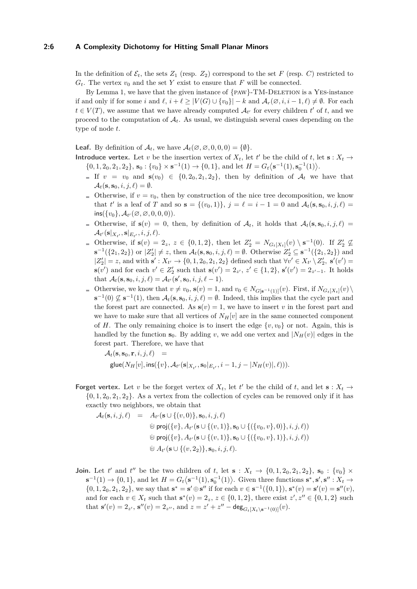#### **2:6 A Complexity Dichotomy for Hitting Small Planar Minors**

In the definition of  $\mathcal{E}_t$ , the sets  $Z_1$  (resp.  $Z_2$ ) correspond to the set *F* (resp. *C*) restricted to  $G_t$ . The vertex  $v_0$  and the set *Y* exist to ensure that *F* will be connected.

By Lemma [1,](#page-4-0) we have that the given instance of  $\{PAW\}$ -TM-DELETION is a YES-instance if and only if for some *i* and  $\ell$ ,  $i + \ell \geq |V(G) \cup \{v_0\}| - k$  and  $\mathcal{A}_r(\emptyset, i, i - 1, \ell) \neq \emptyset$ . For each  $t \in V(T)$ , we assume that we have already computed  $\mathcal{A}_{t'}$  for every children  $t'$  of  $t$ , and we proceed to the computation of  $A_t$ . As usual, we distinguish several cases depending on the type of node *t*.

**Leaf.** By definition of  $\mathcal{A}_t$ , we have  $\mathcal{A}_t(\emptyset, \emptyset, 0, 0, 0) = \{\emptyset\}.$ 

- **Introduce vertex.** Let *v* be the insertion vertex of  $X_t$ , let *t*' be the child of *t*, let **s** :  $X_t \rightarrow$  $\{0, 1, 2_0, 2_1, 2_2\}, \mathbf{s}_0 : \{v_0\} \times \mathbf{s}^{-1}(1) \to \{0, 1\}, \text{ and let } H = G_t \langle \mathbf{s}^{-1}(1), \mathbf{s}_0^{-1}(1) \rangle.$ 
	- If  $v = v_0$  and  $s(v_0) \in \{0, 2_0, 2_1, 2_2\}$ , then by definition of  $\mathcal{A}_t$  we have that  $\mathcal{A}_t(\mathbf{s}, \mathbf{s}_0, i, j, \ell) = \emptyset.$
	- Otherwise, if  $v = v_0$ , then by construction of the nice tree decomposition, we know that *t'* is a leaf of *T* and so  $s = \{(v_0, 1)\}, j = \ell = i - 1 = 0$  and  $\mathcal{A}_t(s, s_0, i, j, \ell) =$  $ins({v_0}, \mathcal{A}_{t'}(\emptyset, \emptyset, 0, 0, 0)).$
	- Otherwise, if  $s(v) = 0$ , then, by definition of  $A_t$ , it holds that  $A_t(s, s_0, i, j, \ell) =$  $\mathcal{A}_{t'}(\mathbf{s}|_{X_{t'}}, \mathbf{s}|_{E_{t'}}, i, j, \ell).$
	- Otherwise, if  $s(v) = 2_z$ ,  $z \in \{0, 1, 2\}$ , then let  $Z'_2 = N_{G_t[X_t]}(v) \setminus s^{-1}(0)$ . If  $Z'_2 \nsubseteq$ **s**<sup>-1</sup>({2<sub>1</sub>, 2<sub>2</sub>}) or  $|Z'_2| \neq z$ , then  $\mathcal{A}_t$ (**s**, **s**<sub>0</sub>*, i, j, ℓ*) = ∅. Otherwise  $Z'_2 \subseteq$  **s**<sup>-1</sup>({2<sub>1</sub>, 2<sub>2</sub>}) and  $|Z'_2| = z$ , and with  $s' : X_{t'} \to \{0, 1, 2_0, 2_1, 2_2\}$  defined such that  $\forall v' \in X_{t'} \setminus Z'_2$ ,  $s'(v') =$ **s**(*v*<sup>'</sup>) and for each *v*<sup>'</sup> ∈  $Z'_{2}$  such that **s**(*v*<sup>'</sup>) = 2<sub>*z*</sub><sup>*,*</sup>, *z*<sup>'</sup> ∈ {1, 2}, **s**<sup>'</sup>(*v*<sup>'</sup>) = 2<sub>*z*<sup></sup>-<sub>1</sub>. It holds</sub> that  $\mathcal{A}_t(\mathbf{s}, \mathbf{s}_0, i, j, \ell) = \mathcal{A}_{t'}(\mathbf{s}', \mathbf{s}_0, i, j, \ell - 1).$
	- Otherwise, we know that  $v \neq v_0$ ,  $\mathbf{s}(v) = 1$ , and  $v_0 \in N_{G[\mathbf{s}^{-1}(1)]}(v)$ . First, if  $N_{G_t[X_t]}(v)$ **s**<sup>-1</sup>(0)  $\not\subseteq$  **s**<sup>-1</sup>(1), then  $\mathcal{A}_t$ (**s***,* **s**<sub>0</sub>*, i, j*,  $\ell$ ) = ∅. Indeed, this implies that the cycle part and the forest part are connected. As  $s(v) = 1$ , we have to insert *v* in the forest part and we have to make sure that all vertices of  $N_H[v]$  are in the same connected component of *H*. The only remaining choice is to insert the edge  $\{v, v_0\}$  or not. Again, this is handled by the function  $\mathbf{s}_0$ . By adding *v*, we add one vertex and  $|N_H(v)|$  edges in the forest part. Therefore, we have that

 $\mathcal{A}_t(\mathbf{s}, \mathbf{s}_0, \mathbf{r}, i, j, \ell) =$  $\mathsf{glue}(N_H[v], \mathsf{ins}(\{v\}, \mathcal{A}_{t'}(\mathbf{s}|_{X_{t'}}, \mathbf{s}_0|_{E_{t'}}, i-1, j-|N_H(v)|, \ell)))$ .

**Forget vertex.** Let *v* be the forget vertex of  $X_t$ , let  $t'$  be the child of  $t$ , and let  $\mathbf{s}: X_t \to$  $\{0, 1, 2_0, 2_1, 2_2\}$ . As a vertex from the collection of cycles can be removed only if it has exactly two neighbors, we obtain that

$$
A_t(\mathbf{s}, i, j, \ell) = A_{t'}(\mathbf{s} \cup \{(v, 0)\}, \mathbf{s}_0, i, j, \ell)
$$
  
\n
$$
\uplus \text{proj}(\{v\}, A_{t'}(\mathbf{s} \cup \{(v, 1)\}, \mathbf{s}_0 \cup \{(\{v_0, v\}, 0)\}, i, j, \ell))
$$
  
\n
$$
\uplus \text{proj}(\{v\}, A_{t'}(\mathbf{s} \cup \{(v, 1)\}, \mathbf{s}_0 \cup \{(\{v_0, v\}, 1)\}, i, j, \ell))
$$
  
\n
$$
\uplus A_{t'}(\mathbf{s} \cup \{(v, 2_2)\}, \mathbf{s}_0, i, j, \ell).
$$

**Join.** Let *t*<sup>'</sup> and *t*<sup>''</sup> be the two children of *t*, let **s** :  $X_t \to \{0, 1, 20, 21, 22\}$ , **s**<sub>0</sub> :  $\{v_0\} \times$  $\mathbf{s}^{-1}(1) \to \{0, 1\}$ , and let  $H = G_t \langle \mathbf{s}^{-1}(1), \mathbf{s}_0^{-1}(1) \rangle$ . Given three functions  $\mathbf{s}^*, \mathbf{s}', \mathbf{s}'' : X_t \to$  $\{0, 1, 2_0, 2_1, 2_2\}$ , we say that  $\mathbf{s}^* = \mathbf{s}' \oplus \mathbf{s}''$  if for each  $v \in \mathbf{s}^{-1}(\{0, 1\})$ ,  $\mathbf{s}^*(v) = \mathbf{s}'(v) = \mathbf{s}''(v)$ , and for each  $v \in X_t$  such that  $\mathbf{s}^*(v) = 2_z$ ,  $z \in \{0, 1, 2\}$ , there exist  $z', z'' \in \{0, 1, 2\}$  such that  $\mathbf{s}'(v) = 2_{z'}$ ,  $\mathbf{s}''(v) = 2_{z''}$ , and  $z = z' + z'' - \deg_{G_t[X_t \setminus \mathbf{s}^{-1}(0)]}(v)$ .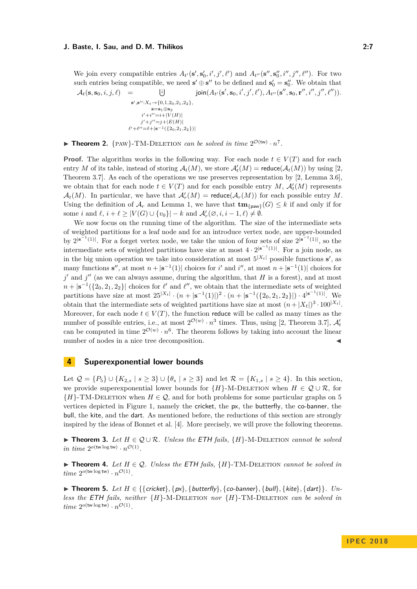We join every compatible entries  $A_{t'}(s', s'_0, i', j', \ell')$  and  $A_{t''}(s'', s''_0, i'', j'', \ell'')$ . For two such entries being compatible, we need  $\mathbf{s}' \oplus \mathbf{s}''$  to be defined and  $\mathbf{s}'_0 = \mathbf{s}''_0$ . We obtain that  $\mathcal{A}_t(\mathbf{s}, \mathbf{s}_0, i, j, \ell) = \qquad \qquad \downarrow \downarrow$  $s', s''$ :  $X_t \rightarrow \{0, 1, 2_0, 2_1, 2_2\}$ , **s**=**s**1⊕**s**<sup>2</sup>  $i'+i''=i+|V(H)|$  $j' + j'' = j + |E(H)|$  $\ell' + \ell'' = \ell + |\mathbf{s}^{-1}({2_0, 2_1, 2_2})|$  $\textsf{join}(A_{t'}(\mathbf{s}', \mathbf{s}_0, i', j', \ell'), A_{t''}(\mathbf{s}'', \mathbf{s}_0, \mathbf{r}'', i'', j'', \ell'')).$ 

**Theorem 2.** {PAW}-TM-DELETION *can be solved in time*  $2^{\mathcal{O}(\text{tw})} \cdot n^7$ *.* 

**Proof.** The algorithm works in the following way. For each node  $t \in V(T)$  and for each entry *M* of its table, instead of storing  $\mathcal{A}_t(M)$ , we store  $\mathcal{A}'_t(M) = \text{reduce}(\mathcal{A}_t(M))$  by using [\[2,](#page-12-4) Theorem 3.7]. As each of the operations we use preserves representation by [\[2,](#page-12-4) Lemma 3.6], we obtain that for each node  $t \in V(T)$  and for each possible entry *M*,  $\mathcal{A}'_t(M)$  represents  $\mathcal{A}_t(M)$ . In particular, we have that  $\mathcal{A}'_r(M) = \text{reduce}(\mathcal{A}_r(M))$  for each possible entry M. Using the definition of  $\mathcal{A}_r$  and Lemma [1,](#page-4-0) we have that  $\mathbf{tm}_{\text{fraw}}(G) \leq k$  if and only if for some *i* and  $\ell$ ,  $i + \ell \ge |V(G) \cup \{v_0\}| - k$  and  $\mathcal{A}'_r(\emptyset, i, i - 1, \ell) \neq \emptyset$ .

We now focus on the running time of the algorithm. The size of the intermediate sets of weighted partitions for a leaf node and for an introduce vertex node, are upper-bounded by  $2^{|\mathbf{s}^{-1}(1)|}$ . For a forget vertex node, we take the union of four sets of size  $2^{|\mathbf{s}^{-1}(1)|}$ , so the intermediate sets of weighted partitions have size at most  $4 \cdot 2^{|s^{-1}(1)|}$ . For a join node, as in the big union operation we take into consideration at most  $5^{|X_t|}$  possible functions  $s'$ , as many functions **s**<sup>*n*</sup>, at most  $n + |s^{-1}(1)|$  choices for *i*<sup>*'*</sup> and *i*<sup>*'*</sup>, at most  $n + |s^{-1}(1)|$  choices for  $j'$  and  $j''$  (as we can always assume, during the algorithm, that *H* is a forest), and at most  $n + |s^{-1}(\{20, 21, 22\})|$  choices for  $\ell'$  and  $\ell''$ , we obtain that the intermediate sets of weighted partitions have size at most  $25^{|X_t|} \cdot (n + |s^{-1}(1)|)^2 \cdot (n + |s^{-1}(\{2_0, 2_1, 2_2\}|) \cdot 4^{|s^{-1}(1)|}$ . We obtain that the intermediate sets of weighted partitions have size at most  $(n+|X_t|)^3 \cdot 100^{|X_t|}$ . Moreover, for each node  $t \in V(T)$ , the function reduce will be called as many times as the number of possible entries, i.e., at most  $2^{\mathcal{O}(w)} \cdot n^3$  times. Thus, using [\[2,](#page-12-4) Theorem 3.7],  $\mathcal{A}'_t$ can be computed in time  $2^{\mathcal{O}(w)} \cdot n^6$ . The theorem follows by taking into account the linear number of nodes in a nice tree decomposition.

### <span id="page-6-0"></span>**4 Superexponential lower bounds**

Let  $\mathcal{Q} = \{P_5\} \cup \{K_{2,s} \mid s \geq 3\} \cup \{\theta_s \mid s \geq 3\}$  and let  $\mathcal{R} = \{K_{1,s} \mid s \geq 4\}$ . In this section, we provide superexponential lower bounds for  ${H}$ -M-DELETION when  $H \in \mathcal{Q} \cup \mathcal{R}$ , for  ${H}$ -TM-DELETION when  $H \in \mathcal{Q}$ , and for both problems for some particular graphs on 5 vertices depicted in Figure [1,](#page-2-0) namely the cricket, the px, the butterfly, the co-banner, the bull, the kite, and the dart. As mentioned before, the reductions of this section are strongly inspired by the ideas of Bonnet et al. [\[4\]](#page-12-8). More precisely, we will prove the following theorems.

<span id="page-6-1"></span>**► Theorem 3.** Let  $H \in \mathcal{Q} \cup \mathcal{R}$ . Unless the ETH fails,  $\{H\}$ -M-DELETION *cannot be solved in time*  $2^{o(\text{tw log tw})} \cdot n^{\mathcal{O}(1)}$ *.* 

<span id="page-6-3"></span>**► Theorem 4.** Let  $H \in \mathcal{Q}$ . Unless the ETH fails,  $\{H\}$ -TM-DELETION *cannot be solved in*  $time\ 2^{o(\text{tw}\log \text{tw})} \cdot n^{\mathcal{O}(1)}$ .

<span id="page-6-2"></span>**► Theorem 5.** Let  $H \in \{ \{ \text{cricket} \}, \{ px \}, \{ \text{butterfly} \}, \{ \text{co-banner} \}, \{ \text{bulk} \}, \{ \text{dark} \}, \{ \text{dark} \} \}.$  Un*less the* ETH *fails, neither* {*H*}-M-Deletion *nor* {*H*}-TM-Deletion *can be solved in*  $time\ 2^{o(\text{tw}\log \text{tw})} \cdot n^{\mathcal{O}(1)}$ .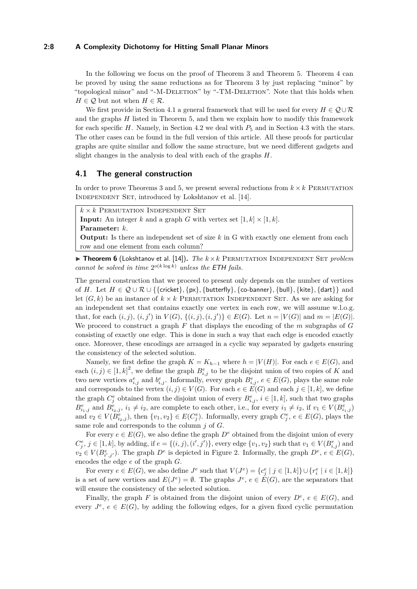#### **2:8 A Complexity Dichotomy for Hitting Small Planar Minors**

In the following we focus on the proof of Theorem [3](#page-6-1) and Theorem [5.](#page-6-2) Theorem [4](#page-6-3) can be proved by using the same reductions as for Theorem [3](#page-6-1) by just replacing "minor" by "topological minor" and "-M-DELETION" by "-TM-DELETION". Note that this holds when *H*  $\in$  *Q* but not when *H*  $\in$  *R*.

We first provide in Section [4.1](#page-7-0) a general framework that will be used for every  $H \in \mathcal{Q} \cup \mathcal{R}$ and the graphs *H* listed in Theorem [5,](#page-6-2) and then we explain how to modify this framework for each specific *H*. Namely, in Section [4.2](#page-9-0) we deal with  $P_5$  and in Section [4.3](#page-10-0) with the stars. The other cases can be found in the full version of this article. All these proofs for particular graphs are quite similar and follow the same structure, but we need different gadgets and slight changes in the analysis to deal with each of the graphs *H*.

## <span id="page-7-0"></span>**4.1 The general construction**

In order to prove Theorems [3](#page-6-1) and [5,](#page-6-2) we present several reductions from  $k \times k$  PERMUTATION INDEPENDENT SET, introduced by Lokshtanov et al. [\[14\]](#page-12-14).

 $k \times k$  Permutation Independent Set

**Input:** An integer *k* and a graph *G* with vertex set  $[1, k] \times [1, k]$ . **Parameter:** *k*.

**Output:** Is there an independent set of size k in G with exactly one element from each row and one element from each column?

 $\triangleright$  **Theorem 6** (Lokshtanov et al. [\[14\]](#page-12-14)). *The*  $k \times k$  PERMUTATION INDEPENDENT SET *problem cannot be solved in time*  $2^{o(k \log k)}$  *unless the* **ETH** *fails.* 

The general construction that we proceed to present only depends on the number of vertices of *H*. Let  $H \in \mathcal{Q} \cup \mathcal{R} \cup \{\{\text{cricket}\}, \{\text{butterfly}\}, \{\text{co-banner}\}, \{\text{bulk}\}, \{\text{date}\}, \{\text{dart}\}\}$  and let  $(G, k)$  be an instance of  $k \times k$  PERMUTATION INDEPENDENT SET. As we are asking for an independent set that contains exactly one vertex in each row, we will assume w.l.o.g. that, for each  $(i, j)$ ,  $(i, j')$  in  $V(G)$ ,  $\{(i, j), (i, j')\} \in E(G)$ . Let  $n = |V(G)|$  and  $m = |E(G)|$ . We proceed to construct a graph *F* that displays the encoding of the *m* subgraphs of *G* consisting of exactly one edge. This is done in such a way that each edge is encoded exactly once. Moreover, these encodings are arranged in a cyclic way separated by gadgets ensuring the consistency of the selected solution.

Namely, we first define the graph  $K = K_{h-1}$  where  $h = |V(H)|$ . For each  $e \in E(G)$ , and each  $(i, j) \in [1, k]^2$ , we define the graph  $B_{i,j}^e$  to be the disjoint union of two copies of *K* and two new vertices  $a_{i,j}^e$  and  $b_{i,j}^e$ . Informally, every graph  $B_{i,j}^e$ ,  $e \in E(G)$ , plays the same role and corresponds to the vertex  $(i, j) \in V(G)$ . For each  $e \in E(G)$  and each  $j \in [1, k]$ , we define the graph  $C_j^e$  obtained from the disjoint union of every  $B_{i,j}^e$ ,  $i \in [1, k]$ , such that two graphs  $B_{i_1,j}^e$  and  $B_{i_2,j}^e$ ,  $i_1 \neq i_2$ , are complete to each other, i.e., for every  $i_1 \neq i_2$ , if  $v_1 \in V(B_{i_1,j}^e)$ and  $v_2 \in V(B^e_{i_2,j})$ , then  $\{v_1, v_2\} \in E(C^e_j)$ . Informally, every graph  $C^e_j$ ,  $e \in E(G)$ , plays the same role and corresponds to the column *j* of *G*.

For every  $e \in E(G)$ , we also define the graph  $D^e$  obtained from the disjoint union of every  $C_j^e, j \in [1, k]$ , by adding, if  $e = \{(i, j), (i', j')\}$ , every edge  $\{v_1, v_2\}$  such that  $v_1 \in V(B_{i,j}^e)$  and  $v_2 \in V(B_{i',j'}^e)$ . The graph  $D^e$  is depicted in Figure [2.](#page-8-0) Informally, the graph  $D^e, e \in E(G)$ , encodes the edge *e* of the graph *G*.

For every  $e \in E(G)$ , we also define  $J^e$  such that  $V(J^e) = \{c_j^e \mid j \in [1, k]\} \cup \{r_i^e \mid i \in [1, k]\}$ is a set of new vertices and  $E(J^e) = \emptyset$ . The graphs  $J^e$ ,  $e \in E(G)$ , are the separators that will ensure the consistency of the selected solution.

Finally, the graph *F* is obtained from the disjoint union of every  $D^e$ ,  $e \in E(G)$ , and every  $J^e$ ,  $e \in E(G)$ , by adding the following edges, for a given fixed cyclic permutation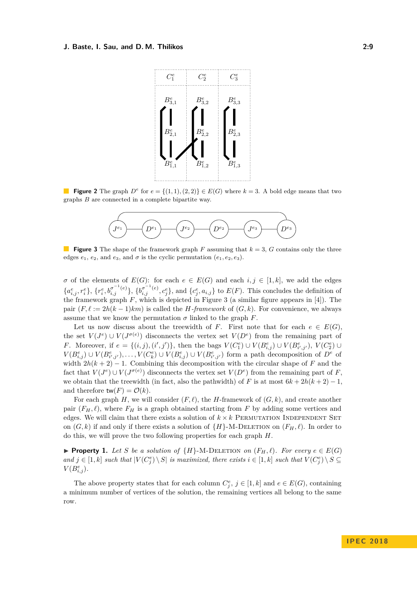<span id="page-8-0"></span>

<span id="page-8-1"></span>**Figure 2** The graph  $D^e$  for  $e = \{(1,1), (2,2)\} \in E(G)$  where  $k = 3$ . A bold edge means that two graphs *B* are connected in a complete bipartite way.



**Figure 3** The shape of the framework graph F assuming that  $k = 3$ , G contains only the three edges  $e_1$ ,  $e_2$ , and  $e_3$ , and  $\sigma$  is the cyclic permutation  $(e_1, e_2, e_3)$ .

*σ* of the elements of  $E(G)$ : for each  $e \in E(G)$  and each  $i, j \in [1, k]$ , we add the edges  ${a_{i,j}^e, r_i^e}, {r_i^e, b_{i,j}^{\sigma^{-1}(e)}}, {b_{i,j}^{\sigma^{-1}(e)}, c_j^e},$  and  ${c_j^e, a_{i,j}}$  to  $E(F)$ . This concludes the definition of the framework graph  $F$ , which is depicted in Figure [3](#page-8-1) (a similar figure appears in [\[4\]](#page-12-8)). The pair  $(F, \ell := 2h(k-1)km)$  is called the *H-framework* of  $(G, k)$ . For convenience, we always assume that we know the permutation  $\sigma$  linked to the graph *F*.

Let us now discuss about the treewidth of *F*. First note that for each  $e \in E(G)$ , the set  $V(J^e) \cup V(J^{\sigma(e)})$  disconnects the vertex set  $V(D^e)$  from the remaining part of *F*. Moreover, if  $e = \{(i, j), (i', j')\}$ , then the bags  $V(C_1^e) \cup V(B_{i,j}^e) \cup V(B_{i',j'}^e)$ ,  $V(C_2^e) \cup$  $V(B_{i,j}^e) \cup V(B_{i',j'}^e), \ldots, V(C_k^e) \cup V(B_{i,j}^e) \cup V(B_{i',j'}^e)$  form a path decomposition of  $D^e$  of width  $2h(k+2)-1$ . Combining this decomposition with the circular shape of *F* and the fact that  $V(J^e) \cup V(J^{\sigma(e)})$  disconnects the vertex set  $V(D^e)$  from the remaining part of *F*, we obtain that the treewidth (in fact, also the pathwidth) of *F* is at most  $6k + 2h(k + 2) - 1$ , and therefore  $\mathsf{tw}(F) = \mathcal{O}(k)$ .

For each graph *H*, we will consider  $(F, \ell)$ , the *H*-framework of  $(G, k)$ , and create another pair  $(F_H, \ell)$ , where  $F_H$  is a graph obtained starting from F by adding some vertices and edges. We will claim that there exists a solution of  $k \times k$  PERMUTATION INDEPENDENT SET on  $(G, k)$  if and only if there exists a solution of  $\{H\}$ -M-DELETION on  $(F_H, \ell)$ . In order to do this, we will prove the two following properties for each graph *H*.

<span id="page-8-2"></span>▶ **Property 1.** Let *S* be a solution of  ${H}$ -M-DELETION on  $(F_H, \ell)$ . For every  $e \in E(G)$ and  $j \in [1, k]$  such that  $|V(C_j^e) \setminus S|$  is maximized, there exists  $i \in [1, k]$  such that  $V(C_j^e) \setminus S \subseteq$  $V(B^e_{i,j}).$ 

The above property states that for each column  $C_j^e$ ,  $j \in [1, k]$  and  $e \in E(G)$ , containing a minimum number of vertices of the solution, the remaining vertices all belong to the same row.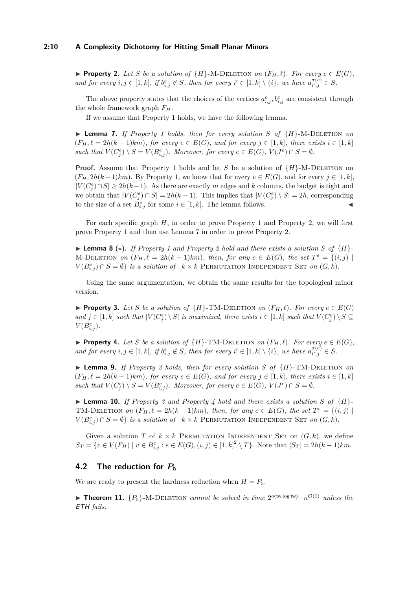### **2:10 A Complexity Dichotomy for Hitting Small Planar Minors**

<span id="page-9-1"></span>▶ **Property 2.** *Let S be a solution of*  ${H}$ -M-DELETION *on*  $(F_H, \ell)$ *. For every*  $e \in E(G)$ *, and for every*  $i, j \in [1, k]$ *, if*  $b_{i,j}^e \notin S$ *, then for every*  $i' \in [1, k] \setminus \{i\}$ *, we have*  $a_{i',j}^{\sigma(e)}$  $a_{i',j}^{\sigma(e)} \in S$ .

The above property states that the choices of the vertices  $a_{i,j}^e, b_{i,j}^e$  are consistent through the whole framework graph *FH*.

If we assume that Property [1](#page-8-2) holds, we have the following lemma.

<span id="page-9-2"></span> $\blacktriangleright$  **Lemma 7.** *If Property [1](#page-8-2) holds, then for every solution S of*  $\{H\}$ *-M-DELETION on*  $(F_H, \ell = 2h(k-1)km)$ , for every  $e \in E(G)$ , and for every  $j \in [1, k]$ , there exists  $i \in [1, k]$ such that  $V(C_j^e) \setminus S = V(B_{i,j}^e)$ . Moreover, for every  $e \in E(G)$ ,  $V(J^e) \cap S = \emptyset$ .

**Proof.** Assume that Property [1](#page-8-2) holds and let *S* be a solution of  ${H}$ -M-DELETION on  $(F_H, 2h(k-1)km)$ . By Property [1,](#page-8-2) we know that for every  $e \in E(G)$ , and for every  $j \in [1, k]$ ,  $|V(C_j^e) \cap S|$  ≥ 2*h*(*k* − 1). As there are exactly *m* edges and *k* columns, the budget is tight and we obtain that  $|V(C_j^e) \cap S| = 2h(k-1)$ . This implies that  $|V(C_j^e) \setminus S| = 2h$ , corresponding to the size of a set  $\dot{B}^e_{i,j}$  for some  $i \in [1, k]$ . The lemma follows.

For each specific graph *H*, in order to prove Property [1](#page-8-2) and Property [2,](#page-9-1) we will first prove Property [1](#page-8-2) and then use Lemma [7](#page-9-2) in order to prove Property [2.](#page-9-1)

 $\blacktriangleright$  **Lemma 8** ( $\star$ ). If Property [1](#page-8-2) and Property [2](#page-9-1) hold and there exists a solution S of  $\{H\}$ - $M$ -DELETION *on*  $(F_H, \ell = 2h(k-1)km)$ *, then, for any*  $e \in E(G)$ *, the set*  $T^e = \{(i, j) \mid$  $V(B_{i,j}^e) \cap S = \emptyset$  *is a solution of*  $k \times k$  PERMUTATION INDEPENDENT SET *on*  $(G, k)$ *.* 

Using the same argumentation, we obtain the same results for the topological minor version.

<span id="page-9-3"></span>▶ **Property 3.** Let S be a solution of  $\{H\}$ -TM-DELETION on  $(F_H, \ell)$ . For every  $e \in E(G)$ and  $j \in [1, k]$  such that  $|V(C_j^e) \setminus S|$  is maximized, there exists  $i \in [1, k]$  such that  $V(C_j^e) \setminus S \subseteq$  $V(B^e_{i,j}).$ 

<span id="page-9-4"></span>▶ **Property 4.** Let *S* be a solution of  $\{H\}$ -TM-DELETION on  $(F_H, \ell)$ . For every  $e \in E(G)$ , *and for every*  $i, j \in [1, k]$ *, if*  $b_{i,j}^e \notin S$ *, then for every*  $i' \in [1, k] \setminus \{i\}$ *, we have*  $a_{i', j}^{\sigma(e)}$  $\frac{\sigma(e)}{i',j} \in S$ .

I **Lemma 9.** *If Property [3](#page-9-3) holds, then for every solution S of* {*H*}-TM-Deletion *on*  $(F_H, \ell = 2h(k-1)km)$ , for every  $e \in E(G)$ , and for every  $j \in [1, k]$ , there exists  $i \in [1, k]$ such that  $V(C_j^e) \setminus S = V(B_{i,j}^e)$ . Moreover, for every  $e \in E(G)$ ,  $V(J^e) \cap S = \emptyset$ .

 $\blacktriangleright$  **Lemma 10.** *If Property [3](#page-9-3) and Property [4](#page-9-4) hold and there exists a solution S of*  $\{H\}$ -TM-DELETION *on*  $(F_H, \ell = 2h(k-1)km)$ *, then, for any*  $e \in E(G)$ *, the set*  $T^e = \{(i, j) \mid$  $V(B_{i,j}^e) \cap S = \emptyset$  *is a solution of*  $k \times k$  PERMUTATION INDEPENDENT SET *on*  $(G, k)$ *.* 

Given a solution *T* of  $k \times k$  PERMUTATION INDEPENDENT SET on  $(G, k)$ , we define  $S_T = \{v \in V(F_H) \mid v \in B_{i,j}^e : e \in E(G), (i,j) \in [1,k]^2 \setminus T\}.$  Note that  $|S_T| = 2h(k-1)km$ .

## <span id="page-9-0"></span>**4.2** The reduction for  $P_5$

We are ready to present the hardness reduction when  $H = P_5$ .

**Theorem 11.**  $\{P_5\}$ -M-DELETION *cannot be solved in time*  $2^{o(\text{tw log tw})} \cdot n^{\mathcal{O}(1)}$  *unless the* ETH *fails.*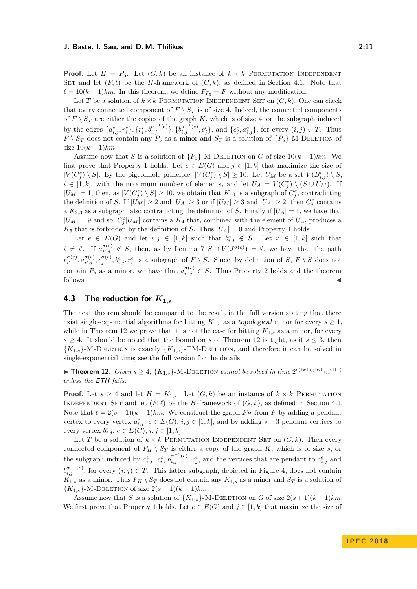**Proof.** Let  $H = P_5$ . Let  $(G, k)$  be an instance of  $k \times k$  PERMUTATION INDEPENDENT SET and let  $(F, \ell)$  be the *H*-framework of  $(G, k)$ , as defined in Section [4.1.](#page-7-0) Note that  $\ell = 10(k-1)km$ . In this theorem, we define  $F_{P_5} = F$  without any modification.

Let *T* be a solution of  $k \times k$  PERMUTATION INDEPENDENT SET on  $(G, k)$ . One can check that every connected component of  $F \setminus S_T$  is of size 4. Indeed, the connected components of  $F \setminus S_T$  are either the copies of the graph  $K$ , which is of size 4, or the subgraph induced by the edges  $\{a_{i,j}^e, r_i^e\}, \{r_i^e, b_{i,j}^{\sigma^{-1}(e)}\}, \{b_{i,j}^{\sigma^{-1}(e)}, c_j^e\}, \text{ and } \{c_j^e, a_{i,j}^e\}, \text{ for every } (i,j) \in T.$  Thus  $F \setminus S_T$  does not contain any  $P_5$  as a minor and  $S_T$  is a solution of  $\{P_5\}$ -M-DELETION of size  $10(k-1)km$ .

Assume now that *S* is a solution of  ${P_5}$ -M-DELETION on *G* of size  $10(k-1)km$ . We first prove that Property [1](#page-8-2) holds. Let  $e \in E(G)$  and  $j \in [1, k]$  that maximize the size of  $|V(C_j^e) \setminus S|$ . By the pigeonhole principle,  $|V(C_j^e) \setminus S| \ge 10$ . Let  $U_M$  be a set  $V(B_{i,j}^e) \setminus S$ ,  $i \in [1, k]$ , with the maximum number of elements, and let  $U_A = V(C_j^e) \setminus (S \cup U_M)$ . If  $|U_M| = 1$ , then, as  $|V(C_j^e) \setminus S| \ge 10$ , we obtain that  $K_{10}$  is a subgraph of  $C_j^e$ , contradicting the definition of *S*. If  $|\dot{U}_M| \geq 2$  and  $|U_A| \geq 3$  or if  $|U_M| \geq 3$  and  $|U_A| \geq 2$ , then  $C_j^e$  contains a  $K_{2,3}$  as a subgraph, also contradicting the definition of *S*. Finally if  $|U_A| = 1$ , we have that  $|U_M| = 9$  and so,  $C_j^e[U_M]$  contains a  $K_4$  that, combined with the element of  $U_A$ , produces a  $K_5$  that is forbidden by the definition of *S*. Thus  $|U_A| = 0$  and Property [1](#page-8-2) holds.

Let  $e \in E(G)$  and let  $i, j \in [1, k]$  such that  $b_{i,j}^e \notin S$ . Let  $i' \in [1, k]$  such that  $i \neq i'$ . If  $a_{i',j}^{\sigma(e)}$  $\sigma^{(e)}_{i',j} \notin S$ , then, as by Lemma [7](#page-9-2)  $S \cap V(J^{\sigma(e)}) = \emptyset$ , we have that the path  $r^{\sigma(e)}_{i'}$  $a_{i'}^{\sigma(e)}, a_{i',j}^{\sigma(e)}$  $\sigma^{(e)}_{i',j}, c^{(\sigma)}_{j'}$ ,  $b^{e}_{i,j}, r^{e}_{i}$  is a subgraph of  $F \setminus S$ . Since, by definition of *S*,  $F \setminus S$  does not contain  $P_5$  as a minor, we have that  $a_{i',j}^{\sigma(e)}$  $\frac{\sigma(e)}{i',j} \in S$ . Thus Property [2](#page-9-1) holds and the theorem follows.  $\triangleleft$ 

## <span id="page-10-0"></span>**4.3** The reduction for  $K_{1,s}$

The next theorem should be compared to the result in the full version stating that there exist single-exponential algorithms for hitting  $K_{1,s}$  as a topological minor for every  $s \geq 1$ , while in Theorem [12](#page-10-1) we prove that it is not the case for hitting  $K_{1,s}$  as a minor, for every  $s \geq 4$ . It should be noted that the bound on *s* of Theorem [12](#page-10-1) is tight, as if  $s \leq 3$ , then  ${K_{1,s}}$ -M-DELETION is exactly  ${K_{1,s}}$ -TM-DELETION, and therefore it can be solved in single-exponential time; see the full version for the details.

<span id="page-10-1"></span>▶ **Theorem 12.** *Given*  $s \geq 4$ ,  $\{K_{1,s}\}$ -M-DELETION *cannot be solved in time*  $2^{o(\text{tw} \log \text{tw})} \cdot n^{\mathcal{O}(1)}$ *unless the* ETH *fails.*

**Proof.** Let  $s \geq 4$  and let  $H = K_{1,s}$ . Let  $(G, k)$  be an instance of  $k \times k$  PERMUTATION INDEPENDENT SET and let  $(F, \ell)$  be the *H*-framework of  $(G, k)$ , as defined in Section [4.1.](#page-7-0) Note that  $\ell = 2(s + 1)(k - 1)km$ . We construct the graph  $F_H$  from *F* by adding a pendant vertex to every vertex  $a_{i,j}^e, e \in E(G), i, j \in [1, k]$ , and by adding  $s-3$  pendant vertices to every vertex  $b_{i,j}^e, e \in E(\hat{G}), i, j \in [1, k].$ 

Let *T* be a solution of  $k \times k$  PERMUTATION INDEPENDENT SET on  $(G, k)$ . Then every connected component of  $F_H \setminus S_T$  is either a copy of the graph *K*, which is of size *s*, or the subgraph induced by  $a_{i,j}^e$ ,  $r_i^e$ ,  $b_{i,j}^{\sigma^{-1}(e)}$ ,  $c_j^e$ , and the vertices that are pendant to  $a_{i,j}^e$  and  $b^{\sigma^{-1}(e)}_{i,j}$ , for every  $(i,j) \in T$ . This latter subgraph, depicted in Figure [4,](#page-11-1) does not contain  $K_{1,s}$  as a minor. Thus  $F_H \setminus S_T$  does not contain any  $K_{1,s}$  as a minor and  $S_T$  is a solution of  ${K_{1,s}}$ -M-DELETION of size  $2(s+1)(k-1)km$ .

Assume now that *S* is a solution of  $\{K_{1,s}\}$ -M-DELETION on *G* of size  $2(s+1)(k-1)km$ . We first prove that Property [1](#page-8-2) holds. Let  $e \in E(G)$  and  $j \in [1, k]$  that maximize the size of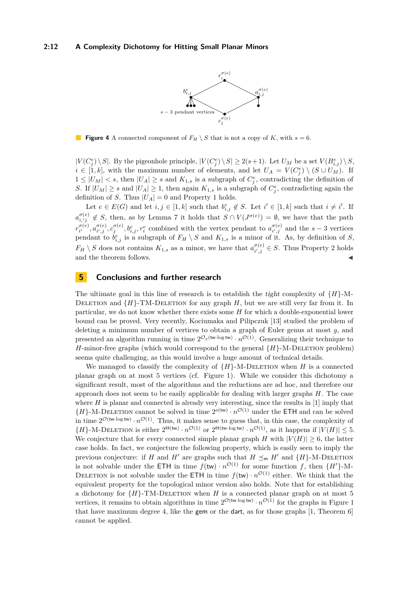

<span id="page-11-1"></span>**Figure 4** A connected component of  $F_H \setminus S$  that is not a copy of *K*, with  $s = 6$ .

 $|V(C_j^e) \setminus S|$ . By the pigeonhole principle,  $|V(C_j^e) \setminus S| \geq 2(s+1)$ . Let  $U_M$  be a set  $V(B_{i,j}^e) \setminus S$ ,  $i \in [1, k]$ , with the maximum number of elements, and let  $U_A = V(C_j^e) \setminus (S \cup U_M)$ . If  $1 \leq |U_M| < s$ , then  $|U_A| \geq s$  and  $K_{1,s}$  is a subgraph of  $C_j^e$ , contradicting the definition of *S*. If  $|U_M| \geq s$  and  $|U_A| \geq 1$ , then again  $K_{1,s}$  is a subgraph of  $C_j^e$ , contradicting again the definition of *S*. Thus  $|U_A| = 0$  and Property [1](#page-8-2) holds.

Let  $e \in E(G)$  and let  $i, j \in [1, k]$  such that  $b_{i,j}^e \notin S$ . Let  $i' \in [1, k]$  such that  $i \neq i'$ . If  $a_{i,j}^{\sigma(e)} \notin S$ , then, as by Lemma [7](#page-9-2) it holds that  $S \cap V(J^{\sigma(e)}) = \emptyset$ , we have that the path  $r^{\sigma(e)}_{i'}$  $a_{i'}^{\sigma(e)}, a_{i',j}^{\sigma(e)}$  $\sigma^{(e)}(x_j, \sigma^{(e)}, \sigma^{(e)}(x_j, \sigma^{(e)}))$  *b*<sub>*i*</sub>,*j*, *r*<sup>*e*</sup></sup> combined with the vertex pendant to  $a^{\sigma(e)}_{i',j}$  $\frac{\sigma(e)}{i',j}$  and the *s* − 3 vertices pendant to  $b_{i,j}^e$  is a subgraph of  $F_H \setminus S$  and  $K_{1,s}$  is a minor of it. As, by definition of *S*,  $F_H \setminus S$  does not contains  $K_{1,s}$  as a minor, we have that  $a_{i',j}^{\sigma(e)}$  $a_{i',j}^{o(e)} \in S$ . Thus Property [2](#page-9-1) holds and the theorem follows.  $\blacksquare$ 

## <span id="page-11-0"></span>**5 Conclusions and further research**

The ultimate goal in this line of research is to establish the *tight* complexity of  ${H}$ -M-DELETION and  ${H}$ -TM-DELETION for any graph *H*, but we are still very far from it. In particular, we do not know whether there exists some *H* for which a double-exponential lower bound can be proved. Very recently, Kociumaka and Pilipczuk [\[13\]](#page-12-15) studied the problem of deleting a minimum number of vertices to obtain a graph of Euler genus at most *g*, and presented an algorithm running in time  $2^{\mathcal{O}_g(w\cdot \log tw)} \cdot n^{\mathcal{O}(1)}$ . Generalizing their technique to *H*-minor-free graphs (which would correspond to the general  ${H}$ -M-DELETION problem) seems quite challenging, as this would involve a huge amount of technical details.

We managed to classify the complexity of  ${H}$ -M-DELETION when *H* is a connected planar graph on at most 5 vertices (cf. Figure [1\)](#page-2-0). While we consider this dichotomy a significant result, most of the algorithms and the reductions are ad hoc, and therefore our approach does not seem to be easily applicable for dealing with larger graphs *H*. The case where  $H$  is planar and connected is already very interesting, since the results in  $[1]$  imply that  ${H}$ -M-DELETION cannot be solved in time  $2^{o(tw)} \cdot n^{\mathcal{O}(1)}$  under the ETH and can be solved in time  $2^{\mathcal{O}(\text{tw-log tw})} \cdot n^{\mathcal{O}(1)}$ . Thus, it makes sense to guess that, in this case, the complexity of  $\{H\}$ -M-DELETION is either  $2^{\Theta(\text{tw})} \cdot n^{\mathcal{O}(1)}$  or  $2^{\Theta(\text{tw-log tw})} \cdot n^{\mathcal{O}(1)}$ , as it happens if  $|V(H)| \leq 5$ . We conjecture that for every connected simple planar graph *H* with  $|V(H)| \geq 6$ , the latter case holds. In fact, we conjecture the following property, which is easily seen to imply the previous conjecture: if *H* and *H*<sup> $\prime$ </sup> are graphs such that  $H \preceq_{\mathfrak{m}} H'$  and  $\{H\}$ -M-DELETION is not solvable under the ETH in time  $f(\mathsf{tw}) \cdot n^{\mathcal{O}(1)}$  for some function f, then  $\{H'\}$ -M-DELETION is not solvable under the ETH in time  $f(\mathsf{tw}) \cdot n^{\mathcal{O}(1)}$  either. We think that the equivalent property for the topological minor version also holds. Note that for establishing a dichotomy for  ${H}$ -TM-DELETION when *H* is a connected planar graph on at most 5 vertices, it remains to obtain algorithms in time  $2^{\mathcal{O}(\text{tw-log tw})} \cdot n^{\mathcal{O}(1)}$  for the graphs in Figure [1](#page-2-0) that have maximum degree 4, like the gem or the dart, as for those graphs [\[1,](#page-12-0) Theorem 6] cannot be applied.